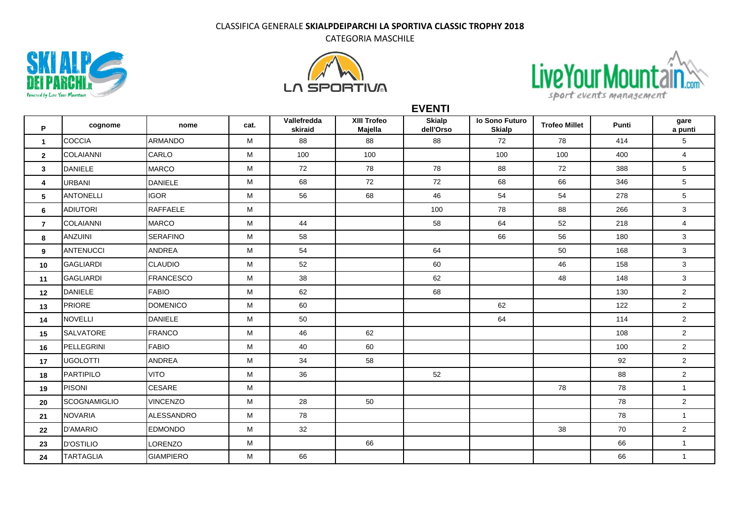## CLASSIFICA GENERALE **SKIALPDEIPARCHI LA SPORTIVA CLASSIC TROPHY 2018**

CATEGORIA MASCHILE







**P cognome nome cat. Vallefredda skiraid XIII Trofeo Majella Skialp dell'Orso Io Sono Futuro Skialp Trofeo Millet Punti gare a punti** COCCIA ARMANDO M 88 88 88 72 78 414 5 COLAIANNI CARLO M 100 100 100 100 400 4 DANIELE MARCO M 72 78 78 88 72 388 5 |URBANI |DANIELE | M | 68 | 72 | 72 | 68 | 66 | 346 | 5 ANTONELLI IGOR M 56 68 46 54 54 278 5 ADIUTORI RAFFAELE M 100 78 88 266 3 COLAIANNI MARCO M 44 58 64 52 218 4 ANZUINI SERAFINO M 58 66 56 180 3 ANTENUCCI ANDREA | M | 54 | 64 | | 50 | 168 | 3 GAGLIARDI CLAUDIO M 52 60 46 158 3 GAGLIARDI FRANCESCO M 38 62 48 148 3 DANIELE FABIO M 62 68 130 2 PRIORE DOMENICO M 60 62 122 2 NOVELLI DANIELE M 50 64 114 2 SALVATORE FRANCO M 46 62 108 2 PELLEGRINI FABIO M 40 60 100 2 UGOLOTTI ANDREA M 34 58 92 2 **18 P**ARTIPILO | VITO | M | 36 | 52 | | | 88 | 2 PISONI CESARE M 78 78 1 SCOGNAMIGLIO |VINCENZO | M | 28 | 50 | | | | | 78 | 2 NOVARIA ALESSANDRO M 78 78 1 D'AMARIO EDMONDO M 32 38 70 2 D'OSTILIO LORENZO M 66 66 1 TARTAGLIA GIAMPIERO M 66 66 1

**EVENTI**